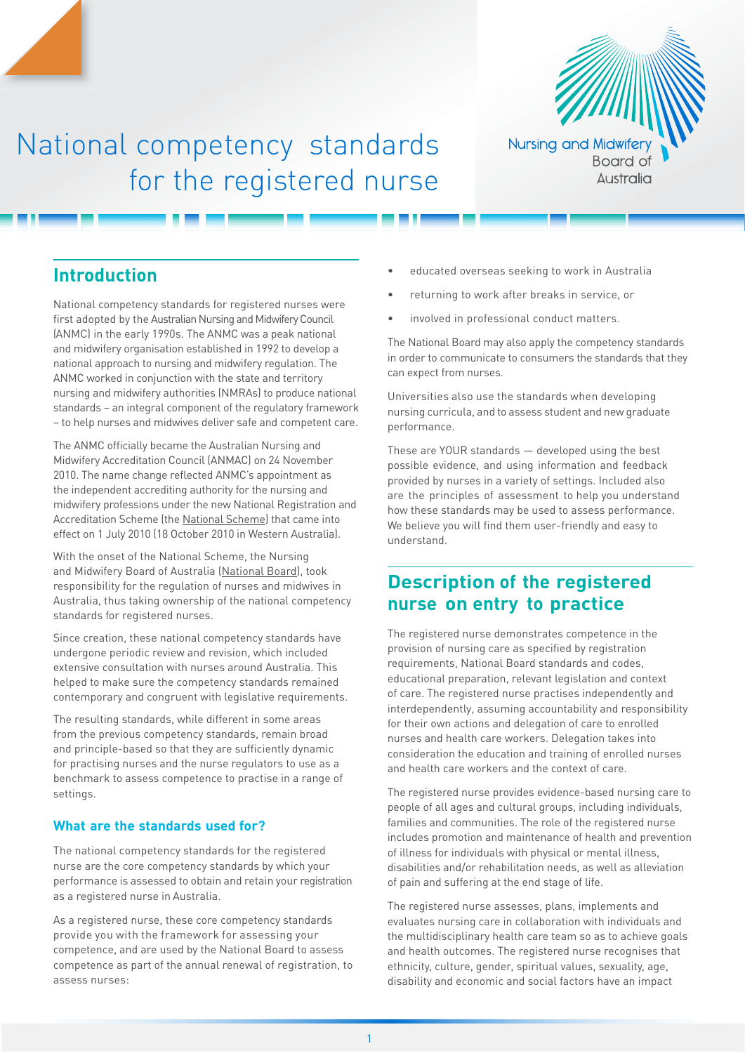

# National competency standards for the registered nurse

# **Introduction**

National competency standards for registered nurses were first adopted by the Australian Nursing and Midwifery Council (ANMC) in the early 1990s. The ANMC was a peak national and midwifery organisation established in 1992 to develop a national approach to nursing and midwifery regulation. The ANMC worked in conjunction with the state and territory nursing and midwifery authorities (NMRAs) to produce national standards – an integral component of the regulatory framework – to help nurses and midwives deliver safe and competent care.

The ANMC officially became the Australian Nursing and Midwifery Accreditation Council (ANMAC) on 24 November 2010. The name change reflected ANMC's appointment as the independent accrediting authority for the nursing and midwifery professions under the new National Registration and Accreditation Scheme (the [National Scheme](http://www.ahpra.gov.au/Support/FAQ.aspx)) that came into effect on 1 July 2010 (18 October 2010 in Western Australia).

With the onset of the National Scheme, the [Nursing](www.nursingmidwiferyboard.gov.au)  [and Midwifery Board of Australia \(](www.nursingmidwiferyboard.gov.au)[National Board](http://www.nursingmidwiferyboard.gov.au)), took responsibility for the regulation of nurses and midwives in Australia, thus taking ownership of the national competency standards for registered nurses.

Since creation, these national competency standards have undergone periodic review and revision, which included extensive consultation with nurses around Australia. This helped to make sure the competency standards remained contemporary and congruent with legislative requirements.

The resulting standards, while different in some areas from the previous competency standards, remain broad and principle-based so that they are sufficiently dynamic for practising nurses and the nurse regulators to use as a benchmark to assess competence to practise in a range of settings.

#### **What are the standards used for?**

The national competency standards for the registered nurse are the core competency standards by which your performance is assessed to obtain and retain your registration as a registered nurse in Australia.

As a registered nurse, these core competency standards provide you with the framework for assessing your competence, and are used by the National Board to assess competence as part of the annual renewal of registration, to assess nurses:

- educated overseas seeking to work in Australia
- returning to work after breaks in service, or
- involved in professional conduct matters.

The National Board may also apply the competency standards in order to communicate to consumers the standards that they can expect from nurses.

Universities also use the standards when developing nursing curricula, and to assess student and new graduate performance.

These are YOUR standards — developed using the best possible evidence, and using information and feedback provided by nurses in a variety of settings. Included also are the principles of assessment to help you understand how these standards may be used to assess performance. We believe you will find them user-friendly and easy to understand.

# **Description of the registered nurse on entry to practice**

The registered nurse demonstrates competence in the provision of nursing care as specified by registration requirements, National Board standards and codes, educational preparation, relevant legislation and context of care. The registered nurse practises independently and interdependently, assuming accountability and responsibility for their own actions and delegation of care to enrolled nurses and health care workers. Delegation takes into consideration the education and training of enrolled nurses and health care workers and the context of care.

The registered nurse provides evidence-based nursing care to people of all ages and cultural groups, including individuals, families and communities. The role of the registered nurse includes promotion and maintenance of health and prevention of illness for individuals with physical or mental illness, disabilities and/or rehabilitation needs, as well as alleviation of pain and suffering at the end stage of life.

The registered nurse assesses, plans, implements and evaluates nursing care in collaboration with individuals and the multidisciplinary health care team so as to achieve goals and health outcomes. The registered nurse recognises that ethnicity, culture, gender, spiritual values, sexuality, age, disability and economic and social factors have an impact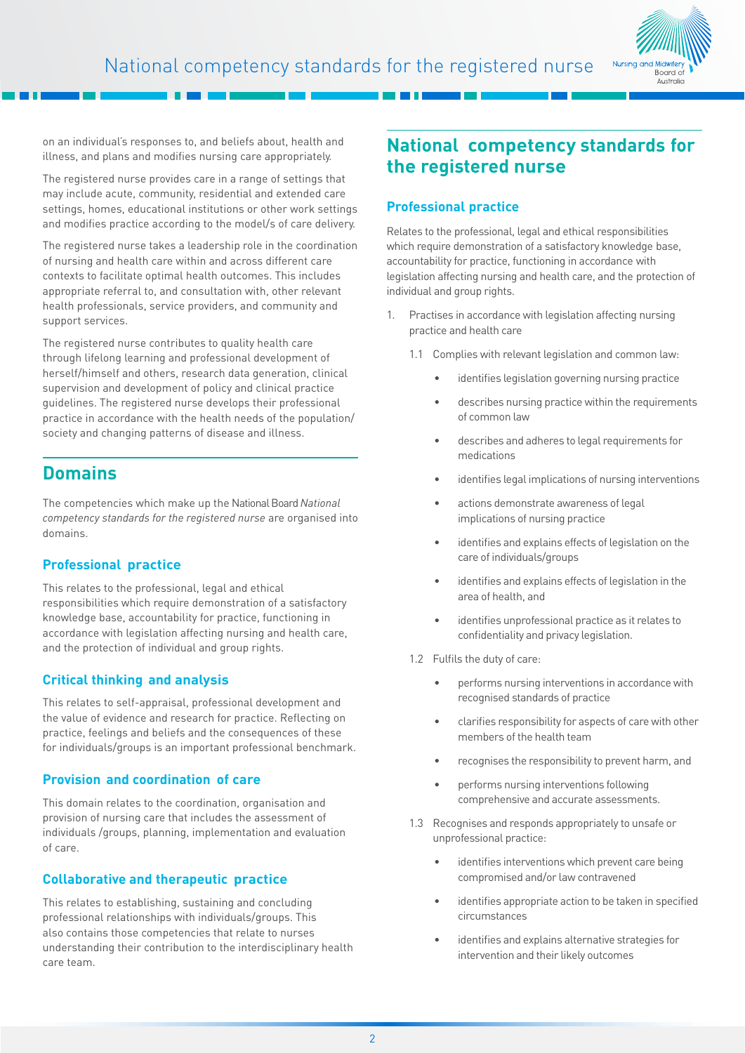

on an individual's responses to, and beliefs about, health and illness, and plans and modifies nursing care appropriately.

The registered nurse provides care in a range of settings that may include acute, community, residential and extended care settings, homes, educational institutions or other work settings and modifies practice according to the model/s of care delivery.

The registered nurse takes a leadership role in the coordination of nursing and health care within and across different care contexts to facilitate optimal health outcomes. This includes appropriate referral to, and consultation with, other relevant health professionals, service providers, and community and support services.

The registered nurse contributes to quality health care through lifelong learning and professional development of herself/himself and others, research data generation, clinical supervision and development of policy and clinical practice guidelines. The registered nurse develops their professional practice in accordance with the health needs of the population/ society and changing patterns of disease and illness.

# **Domains**

The competencies which make up the National Board *National competency standards for the registered nurse* are organised into domains.

### **Professional practice**

This relates to the professional, legal and ethical responsibilities which require demonstration of a satisfactory knowledge base, accountability for practice, functioning in accordance with legislation affecting nursing and health care, and the protection of individual and group rights.

### **Critical thinking and analysis**

This relates to self-appraisal, professional development and the value of evidence and research for practice. Reflecting on practice, feelings and beliefs and the consequences of these for individuals/groups is an important professional benchmark.

### **Provision and coordination of care**

This domain relates to the coordination, organisation and provision of nursing care that includes the assessment of individuals /groups, planning, implementation and evaluation of care.

# **Collaborative and therapeutic practice**

This relates to establishing, sustaining and concluding professional relationships with individuals/groups. This also contains those competencies that relate to nurses understanding their contribution to the interdisciplinary health care team.

# **National competency standards for the registered nurse**

# **Professional practice**

Relates to the professional, legal and ethical responsibilities which require demonstration of a satisfactory knowledge base, accountability for practice, functioning in accordance with legislation affecting nursing and health care, and the protection of individual and group rights.

- 1. Practises in accordance with legislation affecting nursing practice and health care
	- 1.1 Complies with relevant legislation and common law:
		- identifies legislation governing nursing practice
		- describes nursing practice within the requirements of common law
		- describes and adheres to legal requirements for medications
		- identifies legal implications of nursing interventions
		- actions demonstrate awareness of legal implications of nursing practice
		- identifies and explains effects of legislation on the care of individuals/groups
		- identifies and explains effects of legislation in the area of health, and
		- identifies unprofessional practice as it relates to confidentiality and privacy legislation.
	- 1.2 Fulfils the duty of care:
		- performs nursing interventions in accordance with recognised standards of practice
		- clarifies responsibility for aspects of care with other members of the health team
		- recognises the responsibility to prevent harm, and
		- performs nursing interventions following comprehensive and accurate assessments.
	- 1.3 Recognises and responds appropriately to unsafe or unprofessional practice:
		- identifies interventions which prevent care being compromised and/or law contravened
		- identifies appropriate action to be taken in specified circumstances
		- identifies and explains alternative strategies for intervention and their likely outcomes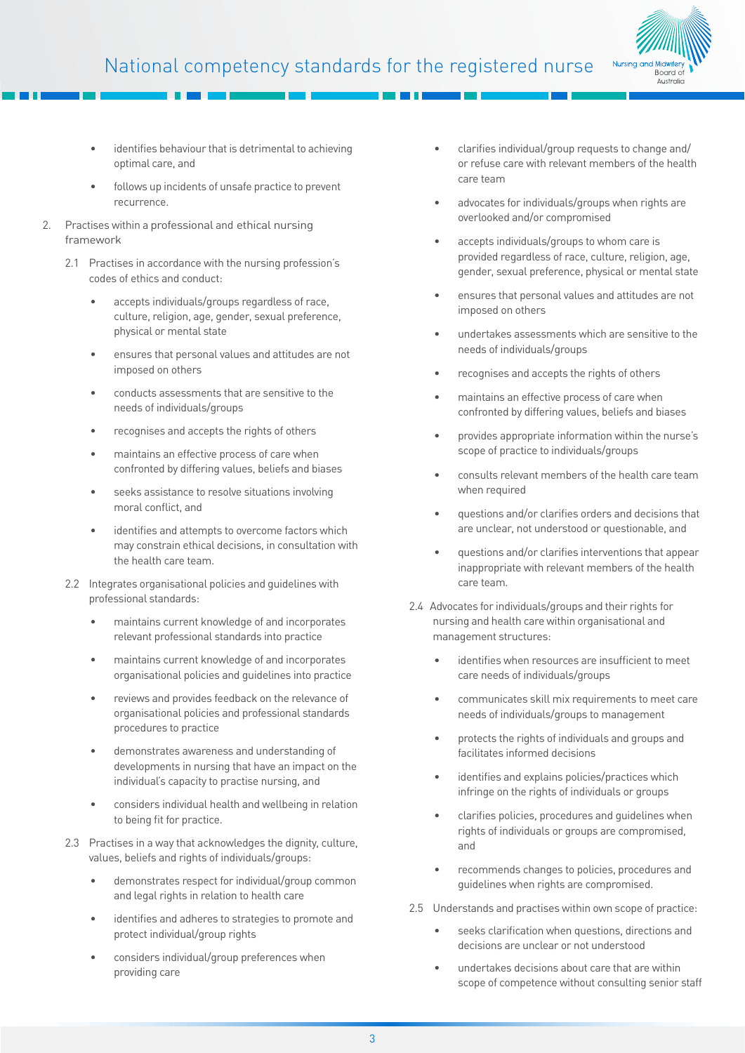# National competency standards for the registered nurse



- identifies behaviour that is detrimental to achieving optimal care, and
- follows up incidents of unsafe practice to prevent recurrence.
- Practises within a professional and ethical nursing framework
	- 2.1 Practises in accordance with the nursing profession's codes of ethics and conduct:
		- accepts individuals/groups regardless of race, culture, religion, age, gender, sexual preference, physical or mental state
		- ensures that personal values and attitudes are not imposed on others
		- conducts assessments that are sensitive to the needs of individuals/groups
		- recognises and accepts the rights of others
		- maintains an effective process of care when confronted by differing values, beliefs and biases
		- seeks assistance to resolve situations involving moral conflict, and
		- identifies and attempts to overcome factors which may constrain ethical decisions, in consultation with the health care team.
	- 2.2 Integrates organisational policies and guidelines with professional standards:
		- maintains current knowledge of and incorporates relevant professional standards into practice
		- maintains current knowledge of and incorporates organisational policies and guidelines into practice
		- reviews and provides feedback on the relevance of organisational policies and professional standards procedures to practice
		- demonstrates awareness and understanding of developments in nursing that have an impact on the individual's capacity to practise nursing, and
		- considers individual health and wellbeing in relation to being fit for practice.
	- 2.3 Practises in a way that acknowledges the dignity, culture, values, beliefs and rights of individuals/groups:
		- demonstrates respect for individual/group common and legal rights in relation to health care
		- identifies and adheres to strategies to promote and protect individual/group rights
		- considers individual/group preferences when providing care
- clarifies individual/group requests to change and/ or refuse care with relevant members of the health care team
- advocates for individuals/groups when rights are overlooked and/or compromised
- accepts individuals/groups to whom care is provided regardless of race, culture, religion, age, gender, sexual preference, physical or mental state
- ensures that personal values and attitudes are not imposed on others
- undertakes assessments which are sensitive to the needs of individuals/groups
- recognises and accepts the rights of others
- maintains an effective process of care when confronted by differing values, beliefs and biases
- provides appropriate information within the nurse's scope of practice to individuals/groups
- consults relevant members of the health care team when required
- questions and/or clarifies orders and decisions that are unclear, not understood or questionable, and
- questions and/or clarifies interventions that appear inappropriate with relevant members of the health care team.
- 2.4 Advocates for individuals/groups and their rights for nursing and health care within organisational and management structures:
	- identifies when resources are insufficient to meet care needs of individuals/groups
	- communicates skill mix requirements to meet care needs of individuals/groups to management
	- protects the rights of individuals and groups and facilitates informed decisions
	- identifies and explains policies/practices which infringe on the rights of individuals or groups
	- clarifies policies, procedures and guidelines when rights of individuals or groups are compromised, and
	- recommends changes to policies, procedures and guidelines when rights are compromised.
- 2.5 Understands and practises within own scope of practice:
	- seeks clarification when questions, directions and decisions are unclear or not understood
	- undertakes decisions about care that are within scope of competence without consulting senior staff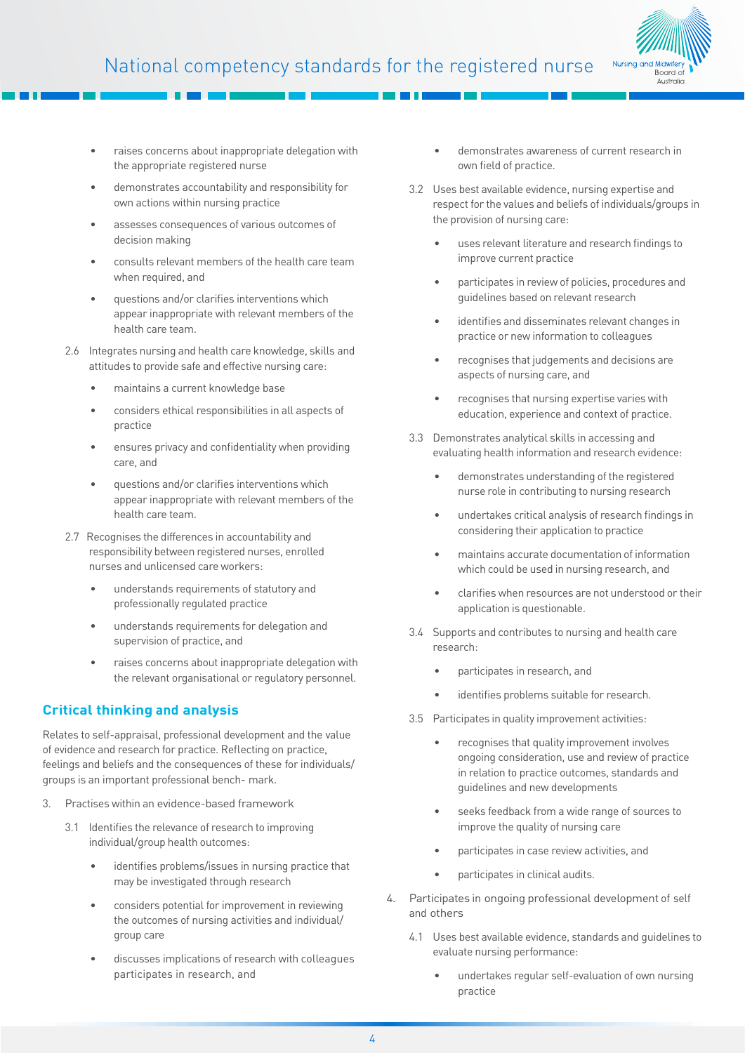

- raises concerns about inappropriate delegation with the appropriate registered nurse
- demonstrates accountability and responsibility for own actions within nursing practice
- assesses consequences of various outcomes of decision making
- consults relevant members of the health care team when required, and
- questions and/or clarifies interventions which appear inappropriate with relevant members of the health care team.
- 2.6 Integrates nursing and health care knowledge, skills and attitudes to provide safe and effective nursing care:
	- maintains a current knowledge base
	- considers ethical responsibilities in all aspects of practice
	- ensures privacy and confidentiality when providing care, and
	- questions and/or clarifies interventions which appear inappropriate with relevant members of the health care team.
- 2.7 Recognises the differences in accountability and responsibility between registered nurses, enrolled nurses and unlicensed care workers:
	- understands requirements of statutory and professionally regulated practice
	- understands requirements for delegation and supervision of practice, and
	- raises concerns about inappropriate delegation with the relevant organisational or regulatory personnel.

# **Critical thinking and analysis**

Relates to self-appraisal, professional development and the value of evidence and research for practice. Reflecting on practice, feelings and beliefs and the consequences of these for individuals/ groups is an important professional bench- mark.

- 3. Practises within an evidence-based framework
	- 3.1 Identifies the relevance of research to improving individual/group health outcomes:
		- identifies problems/issues in nursing practice that may be investigated through research
		- considers potential for improvement in reviewing the outcomes of nursing activities and individual/ group care
		- discusses implications of research with colleagues participates in research, and
- demonstrates awareness of current research in own field of practice.
- 3.2 Uses best available evidence, nursing expertise and respect for the values and beliefs of individuals/groups in the provision of nursing care:
	- uses relevant literature and research findings to improve current practice
	- participates in review of policies, procedures and guidelines based on relevant research
	- identifies and disseminates relevant changes in practice or new information to colleagues
	- recognises that judgements and decisions are aspects of nursing care, and
	- recognises that nursing expertise varies with education, experience and context of practice.
- 3.3 Demonstrates analytical skills in accessing and evaluating health information and research evidence:
	- demonstrates understanding of the registered nurse role in contributing to nursing research
	- undertakes critical analysis of research findings in considering their application to practice
	- maintains accurate documentation of information which could be used in nursing research, and
	- clarifies when resources are not understood or their application is questionable.
- 3.4 Supports and contributes to nursing and health care research:
	- participates in research, and
	- identifies problems suitable for research.
- 3.5 Participates in quality improvement activities:
	- recognises that quality improvement involves ongoing consideration, use and review of practice in relation to practice outcomes, standards and guidelines and new developments
	- seeks feedback from a wide range of sources to improve the quality of nursing care
	- participates in case review activities, and
	- participates in clinical audits.
- 4. Participates in ongoing professional development of self and others
	- 4.1 Uses best available evidence, standards and guidelines to evaluate nursing performance:
		- undertakes regular self-evaluation of own nursing practice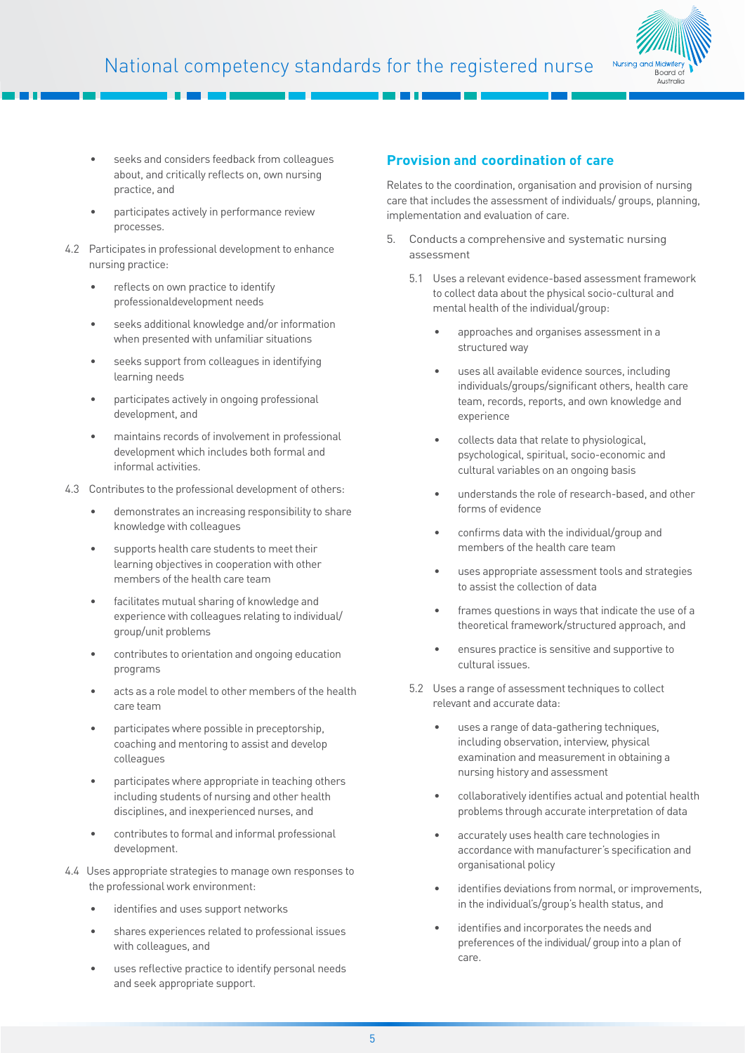

- seeks and considers feedback from colleagues about, and critically reflects on, own nursing practice, and
- participates actively in performance review processes.
- 4.2 Participates in professional development to enhance nursing practice:
	- reflects on own practice to identify professionaldevelopment needs
	- seeks additional knowledge and/or information when presented with unfamiliar situations
	- seeks support from colleagues in identifying learning needs
	- participates actively in ongoing professional development, and
	- maintains records of involvement in professional development which includes both formal and informal activities.
- 4.3 Contributes to the professional development of others:
	- demonstrates an increasing responsibility to share knowledge with colleagues
	- supports health care students to meet their learning objectives in cooperation with other members of the health care team
	- facilitates mutual sharing of knowledge and experience with colleagues relating to individual/ group/unit problems
	- contributes to orientation and ongoing education programs
	- acts as a role model to other members of the health care team
	- participates where possible in preceptorship, coaching and mentoring to assist and develop colleagues
	- participates where appropriate in teaching others including students of nursing and other health disciplines, and inexperienced nurses, and
	- contributes to formal and informal professional development.
- 4.4 Uses appropriate strategies to manage own responses to the professional work environment:
	- identifies and uses support networks
	- shares experiences related to professional issues with colleagues, and
	- uses reflective practice to identify personal needs and seek appropriate support.

### **Provision and coordination of care**

Relates to the coordination, organisation and provision of nursing care that includes the assessment of individuals/ groups, planning, implementation and evaluation of care.

- 5. Conducts a comprehensive and systematic nursing assessment
	- 5.1 Uses a relevant evidence-based assessment framework to collect data about the physical socio-cultural and mental health of the individual/group:
		- approaches and organises assessment in a structured way
		- uses all available evidence sources, including individuals/groups/significant others, health care team, records, reports, and own knowledge and experience
		- collects data that relate to physiological, psychological, spiritual, socio-economic and cultural variables on an ongoing basis
		- understands the role of research-based, and other forms of evidence
		- confirms data with the individual/group and members of the health care team
		- uses appropriate assessment tools and strategies to assist the collection of data
		- frames questions in ways that indicate the use of a theoretical framework/structured approach, and
		- ensures practice is sensitive and supportive to cultural issues.
	- 5.2 Uses a range of assessment techniques to collect relevant and accurate data:
		- uses a range of data-gathering techniques, including observation, interview, physical examination and measurement in obtaining a nursing history and assessment
		- collaboratively identifies actual and potential health problems through accurate interpretation of data
		- accurately uses health care technologies in accordance with manufacturer's specification and organisational policy
		- identifies deviations from normal, or improvements, in the individual's/group's health status, and
		- identifies and incorporates the needs and preferences of the individual/ group into a plan of care.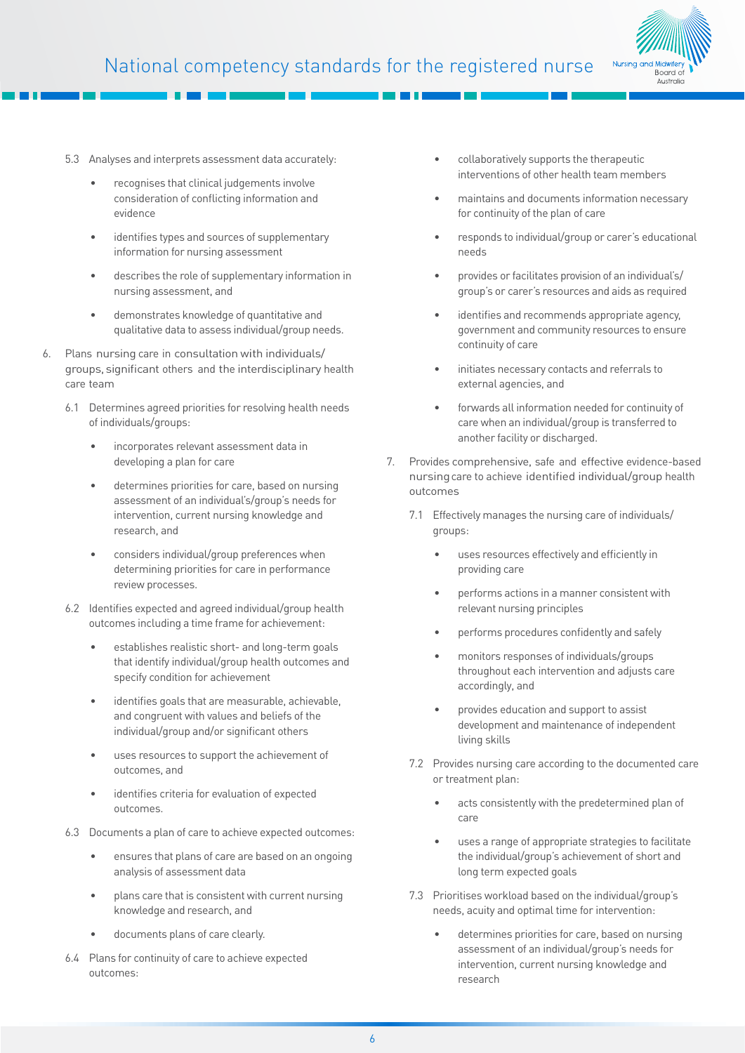

- 5.3 Analyses and interprets assessment data accurately:
	- recognises that clinical judgements involve consideration of conflicting information and evidence
	- identifies types and sources of supplementary information for nursing assessment
	- describes the role of supplementary information in nursing assessment, and
	- demonstrates knowledge of quantitative and qualitative data to assess individual/group needs.
- 6. Plans nursing care in consultation with individuals/ groups, significant others and the interdisciplinary health care team
	- 6.1 Determines agreed priorities for resolving health needs of individuals/groups:
		- incorporates relevant assessment data in developing a plan for care
		- determines priorities for care, based on nursing assessment of an individual's/group's needs for intervention, current nursing knowledge and research, and
		- considers individual/group preferences when determining priorities for care in performance review processes.
	- 6.2 Identifies expected and agreed individual/group health outcomes including a time frame for achievement:
		- establishes realistic short- and long-term goals that identify individual/group health outcomes and specify condition for achievement
		- identifies goals that are measurable, achievable, and congruent with values and beliefs of the individual/group and/or significant others
		- uses resources to support the achievement of outcomes, and
		- identifies criteria for evaluation of expected outcomes.
	- 6.3 Documents a plan of care to achieve expected outcomes:
		- ensures that plans of care are based on an ongoing analysis of assessment data
		- plans care that is consistent with current nursing knowledge and research, and
		- documents plans of care clearly.
	- 6.4 Plans for continuity of care to achieve expected outcomes:
- collaboratively supports the therapeutic interventions of other health team members
- maintains and documents information necessary for continuity of the plan of care
- responds to individual/group or carer's educational needs
- provides or facilitates provision of an individual's/ group's or carer's resources and aids as required
- identifies and recommends appropriate agency, government and community resources to ensure continuity of care
- initiates necessary contacts and referrals to external agencies, and
- forwards all information needed for continuity of care when an individual/group is transferred to another facility or discharged.
- 7. Provides comprehensive, safe and effective evidence-based nursing care to achieve identified individual/group health outcomes
	- 7.1 Effectively manages the nursing care of individuals/ groups:
		- uses resources effectively and efficiently in providing care
		- performs actions in a manner consistent with relevant nursing principles
		- performs procedures confidently and safely
		- monitors responses of individuals/groups throughout each intervention and adjusts care accordingly, and
		- provides education and support to assist development and maintenance of independent living skills
	- 7.2 Provides nursing care according to the documented care or treatment plan:
		- acts consistently with the predetermined plan of care
		- uses a range of appropriate strategies to facilitate the individual/group's achievement of short and long term expected goals
	- 7.3 Prioritises workload based on the individual/group's needs, acuity and optimal time for intervention:
		- determines priorities for care, based on nursing assessment of an individual/group's needs for intervention, current nursing knowledge and research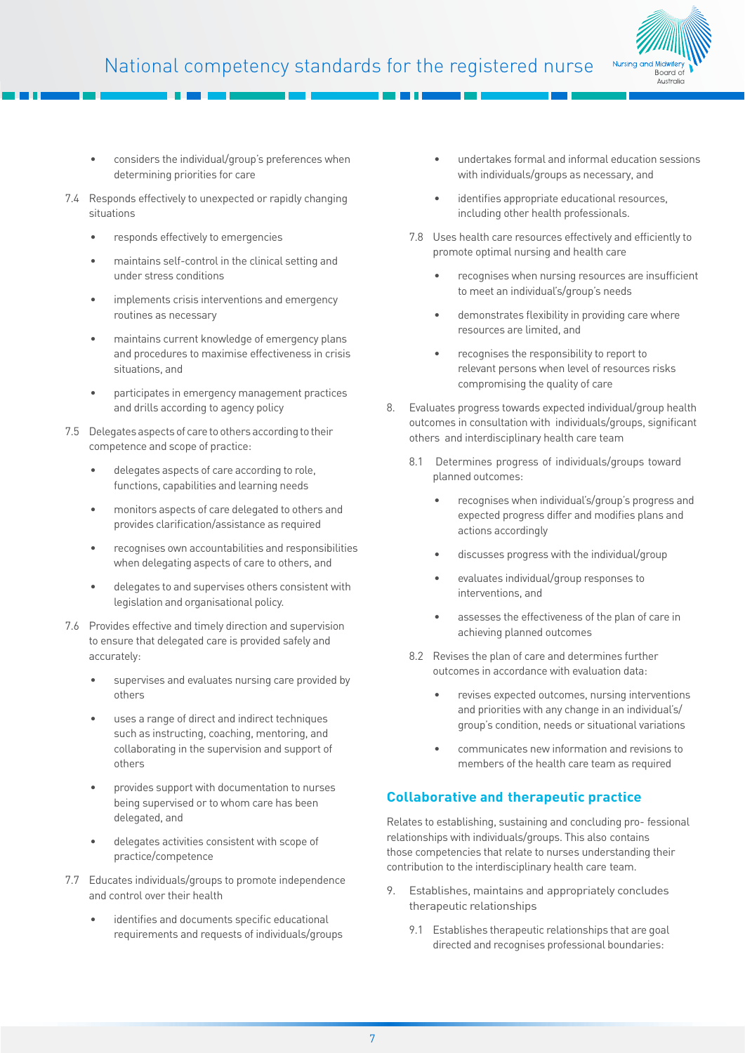

- considers the individual/group's preferences when determining priorities for care
- 7.4 Responds effectively to unexpected or rapidly changing situations
	- responds effectively to emergencies
	- maintains self-control in the clinical setting and under stress conditions
	- implements crisis interventions and emergency routines as necessary
	- maintains current knowledge of emergency plans and procedures to maximise effectiveness in crisis situations, and
	- participates in emergency management practices and drills according to agency policy
- 7.5 Delegates aspects of care to others according to their competence and scope of practice:
	- delegates aspects of care according to role, functions, capabilities and learning needs
	- monitors aspects of care delegated to others and provides clarification/assistance as required
	- recognises own accountabilities and responsibilities when delegating aspects of care to others, and
	- delegates to and supervises others consistent with legislation and organisational policy.
- 7.6 Provides effective and timely direction and supervision to ensure that delegated care is provided safely and accurately:
	- supervises and evaluates nursing care provided by others
	- uses a range of direct and indirect techniques such as instructing, coaching, mentoring, and collaborating in the supervision and support of others
	- provides support with documentation to nurses being supervised or to whom care has been delegated, and
	- delegates activities consistent with scope of practice/competence
- 7.7 Educates individuals/groups to promote independence and control over their health
	- identifies and documents specific educational requirements and requests of individuals/groups
- undertakes formal and informal education sessions with individuals/groups as necessary, and
- identifies appropriate educational resources, including other health professionals.
- 7.8 Uses health care resources effectively and efficiently to promote optimal nursing and health care
	- recognises when nursing resources are insufficient to meet an individual's/group's needs
	- demonstrates flexibility in providing care where resources are limited, and
	- recognises the responsibility to report to relevant persons when level of resources risks compromising the quality of care
- 8. Evaluates progress towards expected individual/group health outcomes in consultation with individuals/groups, significant others and interdisciplinary health care team
	- 8.1 Determines progress of individuals/groups toward planned outcomes:
		- recognises when individual's/group's progress and expected progress differ and modifies plans and actions accordingly
		- discusses progress with the individual/group
		- evaluates individual/group responses to interventions, and
		- assesses the effectiveness of the plan of care in achieving planned outcomes
	- 8.2 Revises the plan of care and determines further outcomes in accordance with evaluation data:
		- revises expected outcomes, nursing interventions and priorities with any change in an individual's/ group's condition, needs or situational variations
		- communicates new information and revisions to members of the health care team as required

# **Collaborative and therapeutic practice**

Relates to establishing, sustaining and concluding pro- fessional relationships with individuals/groups. This also contains those competencies that relate to nurses understanding their contribution to the interdisciplinary health care team.

- 9. Establishes, maintains and appropriately concludes therapeutic relationships
	- 9.1 Establishes therapeutic relationships that are goal directed and recognises professional boundaries: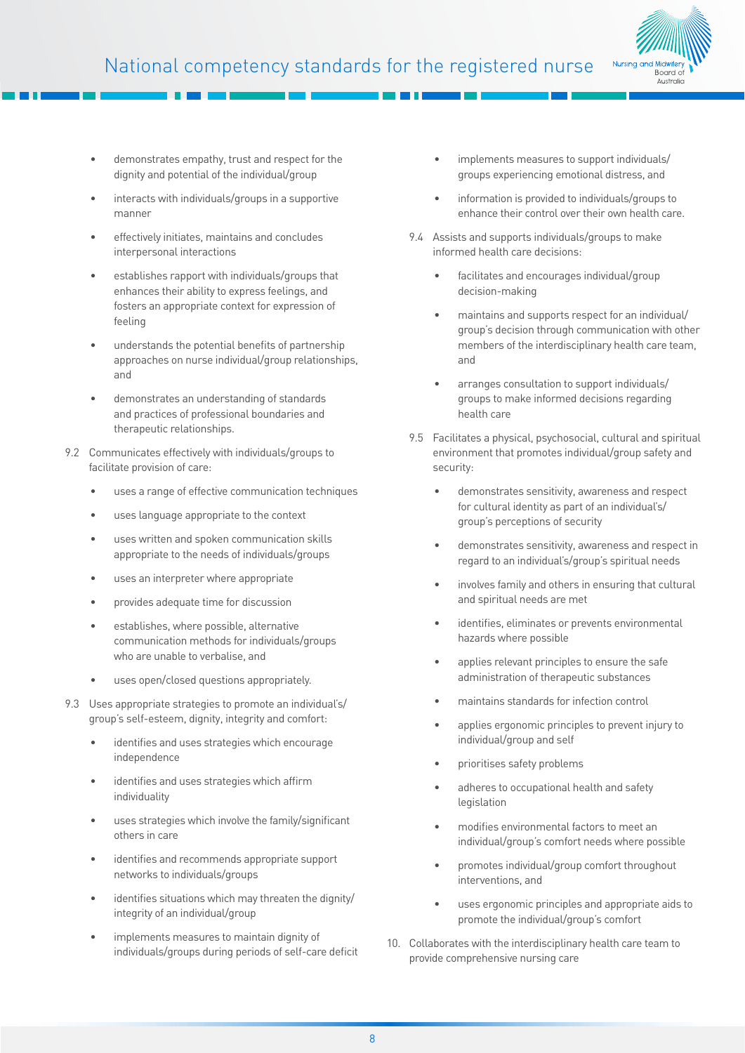

- demonstrates empathy, trust and respect for the dignity and potential of the individual/group
- interacts with individuals/groups in a supportive manner
- effectively initiates, maintains and concludes interpersonal interactions
- establishes rapport with individuals/groups that enhances their ability to express feelings, and fosters an appropriate context for expression of feeling
- understands the potential benefits of partnership approaches on nurse individual/group relationships, and
- demonstrates an understanding of standards and practices of professional boundaries and therapeutic relationships.
- 9.2 Communicates effectively with individuals/groups to facilitate provision of care:
	- uses a range of effective communication techniques
	- uses language appropriate to the context
	- uses written and spoken communication skills appropriate to the needs of individuals/groups
	- uses an interpreter where appropriate
	- provides adequate time for discussion
	- establishes, where possible, alternative communication methods for individuals/groups who are unable to verbalise, and
	- uses open/closed questions appropriately.
- 9.3 Uses appropriate strategies to promote an individual's/ group's self-esteem, dignity, integrity and comfort:
	- identifies and uses strategies which encourage independence
	- identifies and uses strategies which affirm individuality
	- uses strategies which involve the family/significant others in care
	- identifies and recommends appropriate support networks to individuals/groups
	- identifies situations which may threaten the dignity/ integrity of an individual/group
	- implements measures to maintain dignity of individuals/groups during periods of self-care deficit
- implements measures to support individuals/ groups experiencing emotional distress, and
- information is provided to individuals/groups to enhance their control over their own health care.
- 9.4 Assists and supports individuals/groups to make informed health care decisions:
	- facilitates and encourages individual/group decision-making
	- maintains and supports respect for an individual/ group's decision through communication with other members of the interdisciplinary health care team, and
	- arranges consultation to support individuals/ groups to make informed decisions regarding health care
- 9.5 Facilitates a physical, psychosocial, cultural and spiritual environment that promotes individual/group safety and security:
	- demonstrates sensitivity, awareness and respect for cultural identity as part of an individual's/ group's perceptions of security
	- demonstrates sensitivity, awareness and respect in regard to an individual's/group's spiritual needs
	- involves family and others in ensuring that cultural and spiritual needs are met
	- identifies, eliminates or prevents environmental hazards where possible
	- applies relevant principles to ensure the safe administration of therapeutic substances
	- maintains standards for infection control
	- applies ergonomic principles to prevent injury to individual/group and self
	- prioritises safety problems
	- adheres to occupational health and safety legislation
	- modifies environmental factors to meet an individual/group's comfort needs where possible
	- promotes individual/group comfort throughout interventions, and
	- uses ergonomic principles and appropriate aids to promote the individual/group's comfort
- 10. Collaborates with the interdisciplinary health care team to provide comprehensive nursing care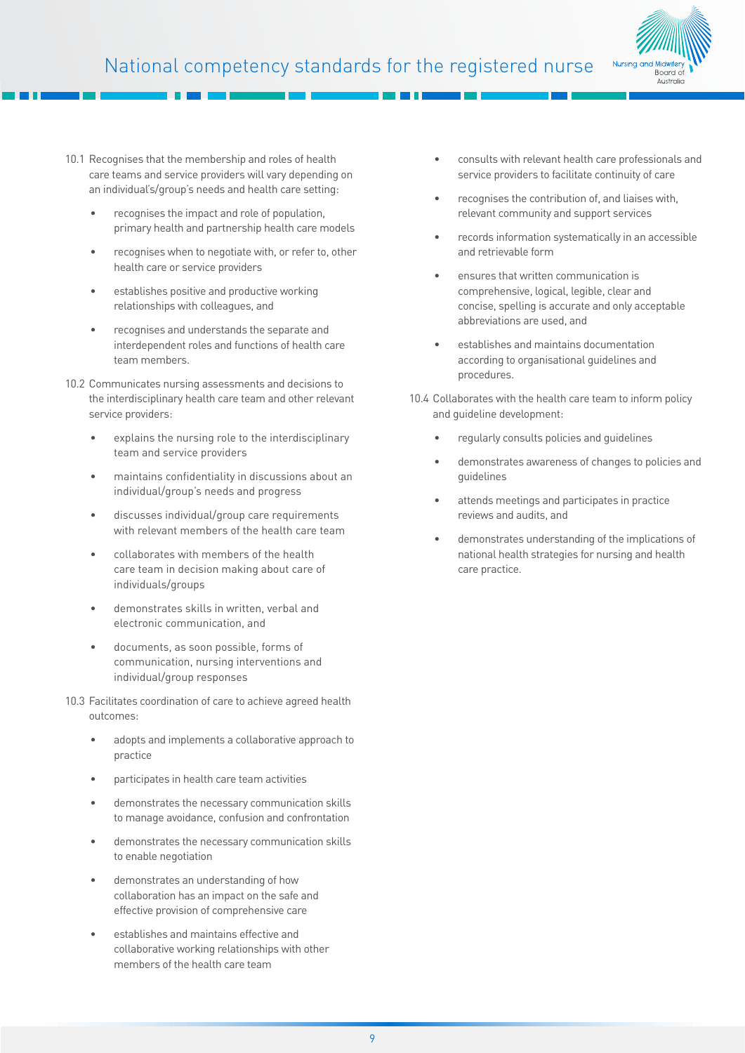

- 10.1 Recognises that the membership and roles of health care teams and service providers will vary depending on an individual's/group's needs and health care setting:
	- recognises the impact and role of population, primary health and partnership health care models
	- recognises when to negotiate with, or refer to, other health care or service providers
	- establishes positive and productive working relationships with colleagues, and
	- recognises and understands the separate and interdependent roles and functions of health care team members.
- 10.2 Communicates nursing assessments and decisions to the interdisciplinary health care team and other relevant service providers:
	- explains the nursing role to the interdisciplinary team and service providers
	- maintains confidentiality in discussions about an individual/group's needs and progress
	- discusses individual/group care requirements with relevant members of the health care team
	- collaborates with members of the health care team in decision making about care of individuals/groups
	- demonstrates skills in written, verbal and electronic communication, and
	- documents, as soon possible, forms of communication, nursing interventions and individual/group responses
- 10.3 Facilitates coordination of care to achieve agreed health outcomes:
	- adopts and implements a collaborative approach to practice
	- participates in health care team activities
	- demonstrates the necessary communication skills to manage avoidance, confusion and confrontation
	- demonstrates the necessary communication skills to enable negotiation
	- demonstrates an understanding of how collaboration has an impact on the safe and effective provision of comprehensive care
	- establishes and maintains effective and collaborative working relationships with other members of the health care team
- consults with relevant health care professionals and service providers to facilitate continuity of care
- recognises the contribution of, and liaises with, relevant community and support services
- records information systematically in an accessible and retrievable form
- ensures that written communication is comprehensive, logical, legible, clear and concise, spelling is accurate and only acceptable abbreviations are used, and
- establishes and maintains documentation according to organisational guidelines and procedures.
- 10.4 Collaborates with the health care team to inform policy and guideline development:
	- regularly consults policies and guidelines
	- demonstrates awareness of changes to policies and guidelines
	- attends meetings and participates in practice reviews and audits, and
	- demonstrates understanding of the implications of national health strategies for nursing and health care practice.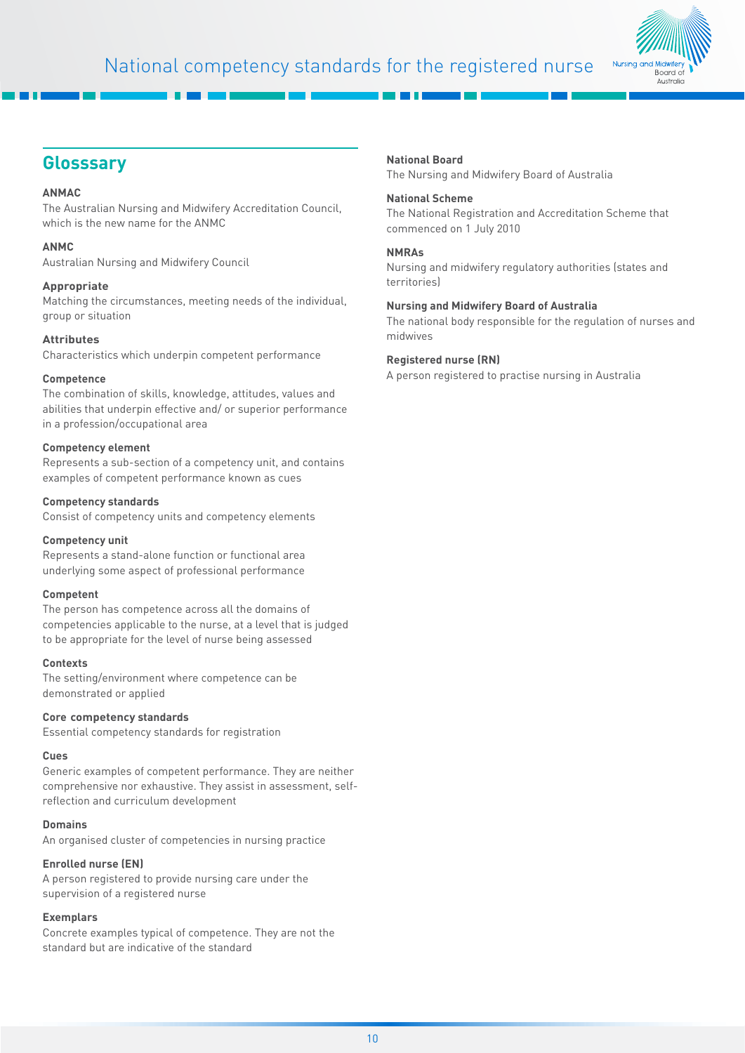

# **Glosssary**

#### **ANMAC**

The Australian Nursing and Midwifery Accreditation Council, which is the new name for the ANMC

#### **ANMC**

Australian Nursing and Midwifery Council

#### **Appropriate**

Matching the circumstances, meeting needs of the individual, group or situation

#### **Attributes**

Characteristics which underpin competent performance

#### **Competence**

The combination of skills, knowledge, attitudes, values and abilities that underpin effective and/ or superior performance in a profession/occupational area

#### **Competency element**

Represents a sub-section of a competency unit, and contains examples of competent performance known as cues

#### **Competency standards**

Consist of competency units and competency elements

#### **Competency unit**

Represents a stand-alone function or functional area underlying some aspect of professional performance

#### **Competent**

The person has competence across all the domains of competencies applicable to the nurse, at a level that is judged to be appropriate for the level of nurse being assessed

#### **Contexts**

The setting/environment where competence can be demonstrated or applied

#### **Core competency standards**

Essential competency standards for registration

#### **Cues**

Generic examples of competent performance. They are neither comprehensive nor exhaustive. They assist in assessment, selfreflection and curriculum development

#### **Domains**

An organised cluster of competencies in nursing practice

#### **Enrolled nurse (EN)**

A person registered to provide nursing care under the supervision of a registered nurse

#### **Exemplars**

Concrete examples typical of competence. They are not the standard but are indicative of the standard

#### **National Board**

The Nursing and Midwifery Board of Australia

#### **National Scheme**

The National Registration and Accreditation Scheme that commenced on 1 July 2010

#### **NMRAs**

Nursing and midwifery regulatory authorities (states and territories)

#### **Nursing and Midwifery Board of Australia**

The national body responsible for the regulation of nurses and midwives

#### **Registered nurse (RN)**

A person registered to practise nursing in Australia